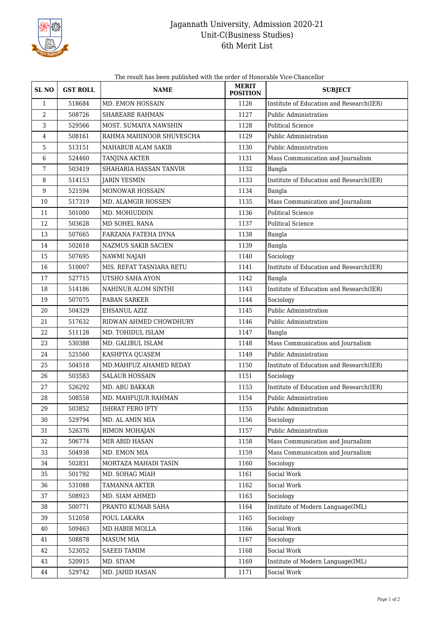

## Jagannath University, Admission 2020-21 Unit-C(Business Studies) 6th Merit List

The result has been published with the order of Honorable Vice-Chancellor

| <b>SLNO</b>    | <b>GST ROLL</b> | <b>NAME</b>                | <b>MERIT</b><br><b>POSITION</b> | <b>SUBJECT</b>                           |
|----------------|-----------------|----------------------------|---------------------------------|------------------------------------------|
| $\mathbf{1}$   | 518684          | MD. EMON HOSSAIN           | 1126                            | Institute of Education and Research(IER) |
| $\overline{2}$ | 508726          | SHAREARE RAHMAN            | 1127                            | Public Administration                    |
| 3              | 529566          | MOST. SUMAIYA NAWSHIN      | 1128                            | Political Science                        |
| 4              | 508161          | RAHMA MAHINOOR SHUVESCHA   | 1129                            | Public Administration                    |
| 5              | 513151          | MAHABUB ALAM SAKIB         | 1130                            | Public Administration                    |
| 6              | 524460          | TANJINA AKTER              | 1131                            | Mass Communication and Journalism        |
| 7              | 503419          | SHAHARIA HASSAN TANVIR     | 1132                            | Bangla                                   |
| 8              | 514153          | <b>JARIN YESMIN</b>        | 1133                            | Institute of Education and Research(IER) |
| 9              | 521594          | MONOWAR HOSSAIN            | 1134                            | Bangla                                   |
| 10             | 517319          | MD. ALAMGIR HOSSEN         | 1135                            | Mass Communication and Journalism        |
| 11             | 501000          | MD. MOHIUDDIN              | 1136                            | <b>Political Science</b>                 |
| 12             | 503628          | MD SOHEL RANA              | 1137                            | <b>Political Science</b>                 |
| 13             | 507665          | FARZANA FATEHA DYNA        | 1138                            | Bangla                                   |
| 14             | 502618          | <b>NAZMUS SAKIB SACIEN</b> | 1139                            | Bangla                                   |
| 15             | 507695          | NAWMI NAJAH                | 1140                            | Sociology                                |
| 16             | 510007          | MIS. REFAT TASNIARA RETU   | 1141                            | Institute of Education and Research(IER) |
| 17             | 527715          | UTSHO SAHA AYON            | 1142                            | Bangla                                   |
| 18             | 514186          | NAHINUR ALOM SINTHI        | 1143                            | Institute of Education and Research(IER) |
| 19             | 507075          | PABAN SARKER               | 1144                            | Sociology                                |
| 20             | 504329          | EHSANUL AZIZ               | 1145                            | Public Administration                    |
| 21             | 517632          | RIDWAN AHMED CHOWDHURY     | 1146                            | Public Administration                    |
| 22             | 511128          | MD. TOHIDUL ISLAM          | 1147                            | Bangla                                   |
| 23             | 530388          | MD. GALIBUL ISLAM          | 1148                            | Mass Communication and Journalism        |
| 24             | 525560          | KASHPIYA QUASEM            | 1149                            | Public Administration                    |
| 25             | 504518          | MD.MAHFUZ AHAMED REDAY     | 1150                            | Institute of Education and Research(IER) |
| 26             | 503583          | <b>SALAUR HOSSAIN</b>      | 1151                            | Sociology                                |
| 27             | 526292          | MD. ABU BAKKAR             | 1153                            | Institute of Education and Research(IER) |
| $28\,$         | 508558          | MD. MAHFUJUR RAHMAN        | 1154                            | Public Administration                    |
| 29             | 503852          | <b>ISHRAT FERO IFTY</b>    | 1155                            | Public Administration                    |
| 30             | 529794          | MD. AL AMIN MIA            | 1156                            | Sociology                                |
| 31             | 526376          | RIMON MOHAJAN              | 1157                            | Public Administration                    |
| 32             | 506774          | MIR ABID HASAN             | 1158                            | Mass Communication and Journalism        |
| 33             | 504938          | MD. EMON MIA               | 1159                            | Mass Communication and Journalism        |
| 34             | 502831          | MORTAZA MAHADI TASIN       | 1160                            | Sociology                                |
| 35             | 501792          | MD. SOHAG MIAH             | 1161                            | Social Work                              |
| 36             | 531088          | <b>TAMANNA AKTER</b>       | 1162                            | Social Work                              |
| 37             | 508923          | MD. SIAM AHMED             | 1163                            | Sociology                                |
| 38             | 500771          | PRANTO KUMAR SAHA          | 1164                            | Institute of Modern Language(IML)        |
| 39             | 512058          | POUL LAKARA                | 1165                            | Sociology                                |
| 40             | 509463          | MD.HABIB MOLLA             | 1166                            | Social Work                              |
| 41             | 508878          | MASUM MIA                  | 1167                            | Sociology                                |
| 42             | 523052          | SAEED TAMIM                | 1168                            | Social Work                              |
| 43             | 520915          | MD. SIYAM                  | 1169                            | Institute of Modern Language(IML)        |
| 44             | 529742          | MD. JAHID HASAN            | 1171                            | Social Work                              |